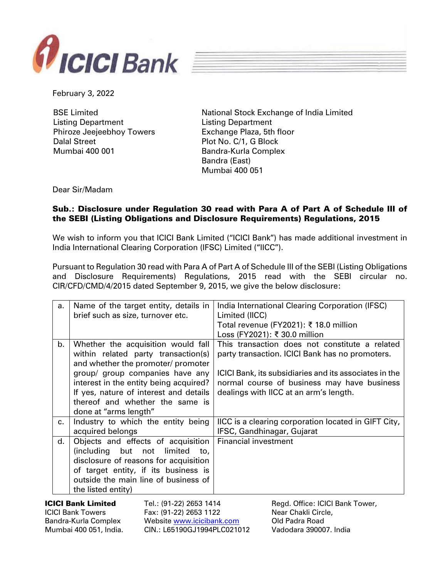



February 3, 2022

BSE Limited Listing Department Phiroze Jeejeebhoy Towers Dalal Street Mumbai 400 001

National Stock Exchange of India Limited Listing Department Exchange Plaza, 5th floor Plot No. C/1, G Block Bandra-Kurla Complex Bandra (East) Mumbai 400 051

Dear Sir/Madam

## Sub.: Disclosure under Regulation 30 read with Para A of Part A of Schedule III of the SEBI (Listing Obligations and Disclosure Requirements) Regulations, 2015

We wish to inform you that ICICI Bank Limited ("ICICI Bank") has made additional investment in India International Clearing Corporation (IFSC) Limited ("IICC").

Pursuant to Regulation 30 read with Para A of Part A of Schedule III of the SEBI (Listing Obligations and Disclosure Requirements) Regulations, 2015 read with the SEBI circular no. CIR/CFD/CMD/4/2015 dated September 9, 2015, we give the below disclosure:

|                                                                                                         | a.      | Name of the target entity, details in<br>brief such as size, turnover etc.                                                                                                                                                                                                | India International Clearing Corporation (IFSC)<br>Limited (IICC)<br>Total revenue (FY2021): ₹ 18.0 million<br>Loss (FY2021): ₹ 30.0 million                                                                                                         |
|---------------------------------------------------------------------------------------------------------|---------|---------------------------------------------------------------------------------------------------------------------------------------------------------------------------------------------------------------------------------------------------------------------------|------------------------------------------------------------------------------------------------------------------------------------------------------------------------------------------------------------------------------------------------------|
|                                                                                                         | b.      | Whether the acquisition would fall<br>within related party transaction(s)<br>and whether the promoter/ promoter<br>group/ group companies have any<br>interest in the entity being acquired?<br>If yes, nature of interest and details<br>thereof and whether the same is | This transaction does not constitute a related<br>party transaction. ICICI Bank has no promoters.<br>ICICI Bank, its subsidiaries and its associates in the<br>normal course of business may have business<br>dealings with IICC at an arm's length. |
|                                                                                                         | $C_{1}$ | done at "arms length"<br>Industry to which the entity being<br>acquired belongs                                                                                                                                                                                           | IICC is a clearing corporation located in GIFT City,<br>IFSC, Gandhinagar, Gujarat                                                                                                                                                                   |
|                                                                                                         | d.      | Objects and effects of acquisition<br>(including<br>but not<br>limited<br>to,<br>disclosure of reasons for acquisition<br>of target entity, if its business is<br>outside the main line of business of<br>the listed entity)                                              | <b>Financial investment</b>                                                                                                                                                                                                                          |
| <b>ICICI Bank Limited</b><br><b>ICICI Bank Towers</b><br>Bandra-Kurla Complex<br>Mumbai 400 051, India. |         | Tel.: (91-22) 2653 1414<br>Fax: (91-22) 2653 1122<br>Website www.icicibank.com<br>CIN.: L65190GJ1994PLC021012                                                                                                                                                             | Regd. Office: ICICI Bank Tower,<br>Near Chakli Circle,<br>Old Padra Road<br>Vadodara 390007. India                                                                                                                                                   |